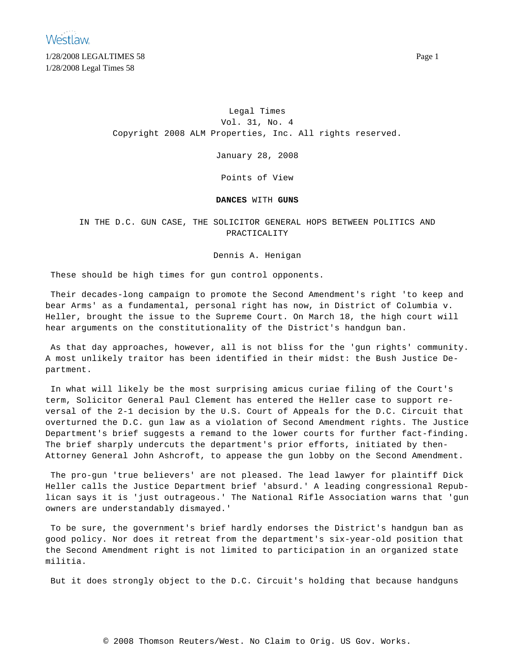**Westlaw** 

1/28/2008 LEGALTIMES 58 Page 1 1/28/2008 Legal Times 58

> Legal Times Vol. 31, No. 4 Copyright 2008 ALM Properties, Inc. All rights reserved.

> > January 28, 2008

Points of View

**DANCES** WITH **GUNS**

IN THE D.C. GUN CASE, THE SOLICITOR GENERAL HOPS BETWEEN POLITICS AND PRACTICALITY

Dennis A. Henigan

These should be high times for gun control opponents.

Their decades-long campaign to promote the Second Amendment's right 'to keep and bear Arms' as a fundamental, personal right has now, in District of Columbia v. Heller, brought the issue to the Supreme Court. On March 18, the high court will hear arguments on the constitutionality of the District's handgun ban.

As that day approaches, however, all is not bliss for the 'gun rights' community. A most unlikely traitor has been identified in their midst: the Bush Justice Department.

In what will likely be the most surprising amicus curiae filing of the Court's term, Solicitor General Paul Clement has entered the Heller case to support reversal of the 2-1 decision by the U.S. Court of Appeals for the D.C. Circuit that overturned the D.C. gun law as a violation of Second Amendment rights. The Justice Department's brief suggests a remand to the lower courts for further fact-finding. The brief sharply undercuts the department's prior efforts, initiated by then-Attorney General John Ashcroft, to appease the gun lobby on the Second Amendment.

The pro-gun 'true believers' are not pleased. The lead lawyer for plaintiff Dick Heller calls the Justice Department brief 'absurd.' A leading congressional Republican says it is 'just outrageous.' The National Rifle Association warns that 'gun owners are understandably dismayed.'

To be sure, the government's brief hardly endorses the District's handgun ban as good policy. Nor does it retreat from the department's six-year-old position that the Second Amendment right is not limited to participation in an organized state militia.

But it does strongly object to the D.C. Circuit's holding that because handguns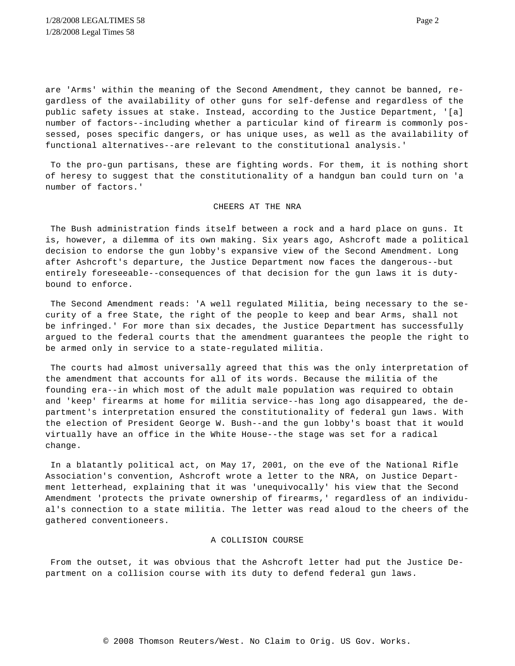are 'Arms' within the meaning of the Second Amendment, they cannot be banned, regardless of the availability of other guns for self-defense and regardless of the public safety issues at stake. Instead, according to the Justice Department, '[a] number of factors--including whether a particular kind of firearm is commonly possessed, poses specific dangers, or has unique uses, as well as the availability of functional alternatives--are relevant to the constitutional analysis.'

To the pro-gun partisans, these are fighting words. For them, it is nothing short of heresy to suggest that the constitutionality of a handgun ban could turn on 'a number of factors.'

### CHEERS AT THE NRA

The Bush administration finds itself between a rock and a hard place on guns. It is, however, a dilemma of its own making. Six years ago, Ashcroft made a political decision to endorse the gun lobby's expansive view of the Second Amendment. Long after Ashcroft's departure, the Justice Department now faces the dangerous--but entirely foreseeable--consequences of that decision for the gun laws it is dutybound to enforce.

The Second Amendment reads: 'A well regulated Militia, being necessary to the security of a free State, the right of the people to keep and bear Arms, shall not be infringed.' For more than six decades, the Justice Department has successfully argued to the federal courts that the amendment guarantees the people the right to be armed only in service to a state-regulated militia.

The courts had almost universally agreed that this was the only interpretation of the amendment that accounts for all of its words. Because the militia of the founding era--in which most of the adult male population was required to obtain and 'keep' firearms at home for militia service--has long ago disappeared, the department's interpretation ensured the constitutionality of federal gun laws. With the election of President George W. Bush--and the gun lobby's boast that it would virtually have an office in the White House--the stage was set for a radical change.

In a blatantly political act, on May 17, 2001, on the eve of the National Rifle Association's convention, Ashcroft wrote a letter to the NRA, on Justice Department letterhead, explaining that it was 'unequivocally' his view that the Second Amendment 'protects the private ownership of firearms,' regardless of an individual's connection to a state militia. The letter was read aloud to the cheers of the gathered conventioneers.

# A COLLISION COURSE

From the outset, it was obvious that the Ashcroft letter had put the Justice Department on a collision course with its duty to defend federal gun laws.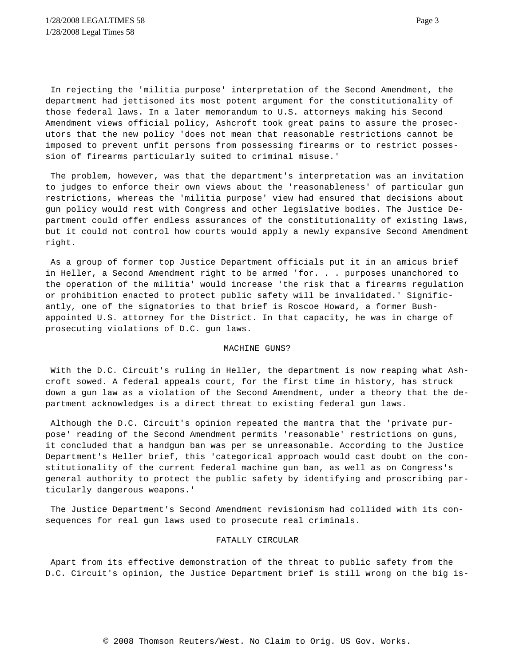In rejecting the 'militia purpose' interpretation of the Second Amendment, the department had jettisoned its most potent argument for the constitutionality of those federal laws. In a later memorandum to U.S. attorneys making his Second Amendment views official policy, Ashcroft took great pains to assure the prosecutors that the new policy 'does not mean that reasonable restrictions cannot be imposed to prevent unfit persons from possessing firearms or to restrict possession of firearms particularly suited to criminal misuse.'

The problem, however, was that the department's interpretation was an invitation to judges to enforce their own views about the 'reasonableness' of particular gun restrictions, whereas the 'militia purpose' view had ensured that decisions about gun policy would rest with Congress and other legislative bodies. The Justice Department could offer endless assurances of the constitutionality of existing laws, but it could not control how courts would apply a newly expansive Second Amendment right.

As a group of former top Justice Department officials put it in an amicus brief in Heller, a Second Amendment right to be armed 'for. . . purposes unanchored to the operation of the militia' would increase 'the risk that a firearms regulation or prohibition enacted to protect public safety will be invalidated.' Significantly, one of the signatories to that brief is Roscoe Howard, a former Bushappointed U.S. attorney for the District. In that capacity, he was in charge of prosecuting violations of D.C. gun laws.

#### MACHINE GUNS?

With the D.C. Circuit's ruling in Heller, the department is now reaping what Ashcroft sowed. A federal appeals court, for the first time in history, has struck down a gun law as a violation of the Second Amendment, under a theory that the department acknowledges is a direct threat to existing federal gun laws.

Although the D.C. Circuit's opinion repeated the mantra that the 'private purpose' reading of the Second Amendment permits 'reasonable' restrictions on guns, it concluded that a handgun ban was per se unreasonable. According to the Justice Department's Heller brief, this 'categorical approach would cast doubt on the constitutionality of the current federal machine gun ban, as well as on Congress's general authority to protect the public safety by identifying and proscribing particularly dangerous weapons.'

The Justice Department's Second Amendment revisionism had collided with its consequences for real gun laws used to prosecute real criminals.

# FATALLY CIRCULAR

Apart from its effective demonstration of the threat to public safety from the D.C. Circuit's opinion, the Justice Department brief is still wrong on the big is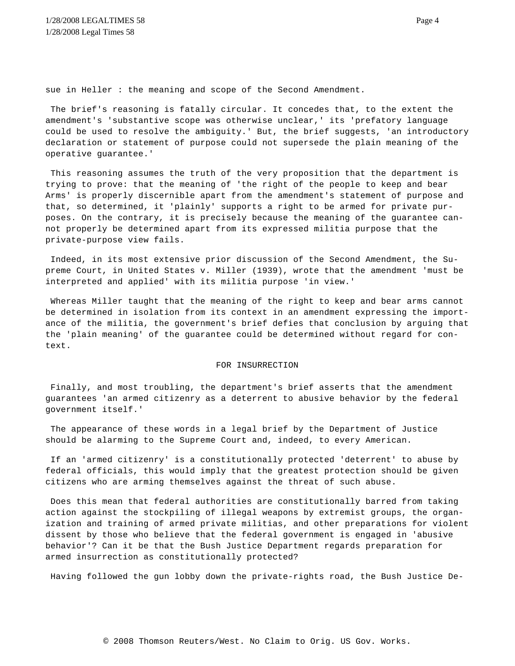sue in Heller : the meaning and scope of the Second Amendment.

The brief's reasoning is fatally circular. It concedes that, to the extent the amendment's 'substantive scope was otherwise unclear,' its 'prefatory language could be used to resolve the ambiguity.' But, the brief suggests, 'an introductory declaration or statement of purpose could not supersede the plain meaning of the operative guarantee.'

This reasoning assumes the truth of the very proposition that the department is trying to prove: that the meaning of 'the right of the people to keep and bear Arms' is properly discernible apart from the amendment's statement of purpose and that, so determined, it 'plainly' supports a right to be armed for private purposes. On the contrary, it is precisely because the meaning of the guarantee cannot properly be determined apart from its expressed militia purpose that the private-purpose view fails.

Indeed, in its most extensive prior discussion of the Second Amendment, the Supreme Court, in United States v. Miller (1939), wrote that the amendment 'must be interpreted and applied' with its militia purpose 'in view.'

Whereas Miller taught that the meaning of the right to keep and bear arms cannot be determined in isolation from its context in an amendment expressing the importance of the militia, the government's brief defies that conclusion by arguing that the 'plain meaning' of the guarantee could be determined without regard for context.

### FOR INSURRECTION

Finally, and most troubling, the department's brief asserts that the amendment guarantees 'an armed citizenry as a deterrent to abusive behavior by the federal government itself.'

The appearance of these words in a legal brief by the Department of Justice should be alarming to the Supreme Court and, indeed, to every American.

If an 'armed citizenry' is a constitutionally protected 'deterrent' to abuse by federal officials, this would imply that the greatest protection should be given citizens who are arming themselves against the threat of such abuse.

Does this mean that federal authorities are constitutionally barred from taking action against the stockpiling of illegal weapons by extremist groups, the organization and training of armed private militias, and other preparations for violent dissent by those who believe that the federal government is engaged in 'abusive behavior'? Can it be that the Bush Justice Department regards preparation for armed insurrection as constitutionally protected?

Having followed the gun lobby down the private-rights road, the Bush Justice De-